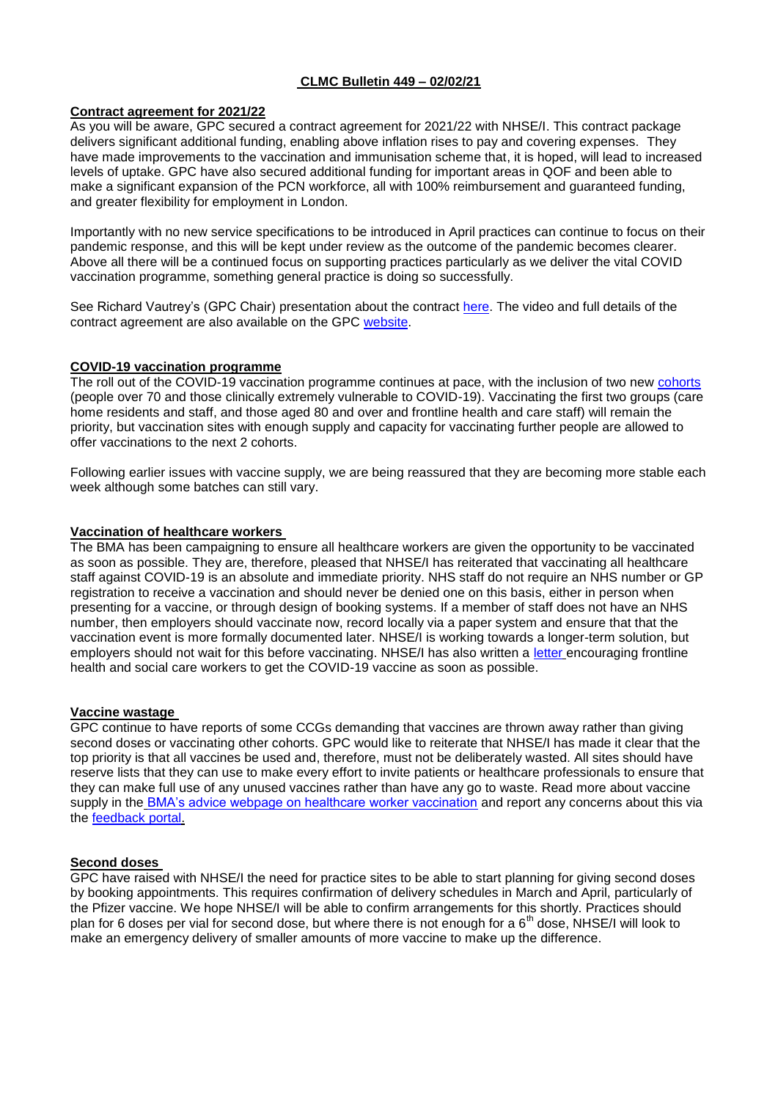# **CLMC Bulletin 449 – 02/02/21**

# **Contract agreement for 2021/22**

As you will be aware, GPC secured a contract agreement for 2021/22 with NHSE/I. This contract package delivers significant additional funding, enabling above inflation rises to pay and covering expenses. They have made improvements to the vaccination and immunisation scheme that, it is hoped, will lead to increased levels of uptake. GPC have also secured additional funding for important areas in QOF and been able to make a significant expansion of the PCN workforce, all with 100% reimbursement and guaranteed funding, and greater flexibility for employment in London.

Importantly with no new service specifications to be introduced in April practices can continue to focus on their pandemic response, and this will be kept under review as the outcome of the pandemic becomes clearer. Above all there will be a continued focus on supporting practices particularly as we deliver the vital COVID vaccination programme, something general practice is doing so successfully.

See Richard Vautrey's (GPC Chair) presentation about the contract [here.](https://www.youtube.com/watch?v=3JYuhXiaM94&feature=youtu.be) The video and full details of the contract agreement are also available on the GPC [website.](https://www.bma.org.uk/pay-and-contracts/contracts/gp-contract/gp-contract-england-20212022)

### **COVID-19 vaccination programme**

The roll out of the COVID-19 vaccination programme continues at pace, with the inclusion of two new [cohorts](https://www.gov.uk/government/news/covid-19-vaccines-rolled-out-to-people-aged-70-years-and-over-from-today) (people over 70 and those clinically extremely vulnerable to COVID-19). Vaccinating the first two groups (care home residents and staff, and those aged 80 and over and frontline health and care staff) will remain the priority, but vaccination sites with enough supply and capacity for vaccinating further people are allowed to offer vaccinations to the next 2 cohorts.

Following earlier issues with vaccine supply, we are being reassured that they are becoming more stable each week although some batches can still vary.

# **Vaccination of healthcare workers**

The BMA has been campaigning to ensure all healthcare workers are given the opportunity to be vaccinated as soon as possible. They are, therefore, pleased that NHSE/I has reiterated that vaccinating all healthcare staff against COVID-19 is an absolute and immediate priority. NHS staff do not require an NHS number or GP registration to receive a vaccination and should never be denied one on this basis, either in person when presenting for a vaccine, or through design of booking systems. If a member of staff does not have an NHS number, then employers should vaccinate now, record locally via a paper system and ensure that that the vaccination event is more formally documented later. NHSE/I is working towards a longer-term solution, but employers should not wait for this before vaccinating. NHSE/I has also written a [letter](https://www.england.nhs.uk/coronavirus/publication/vaccinating-frontline-health-and-social-care-workers/) encouraging frontline health and social care workers to get the COVID-19 vaccine as soon as possible.

### **Vaccine wastage**

GPC continue to have reports of some CCGs demanding that vaccines are thrown away rather than giving second doses or vaccinating other cohorts. GPC would like to reiterate that NHSE/I has made it clear that the top priority is that all vaccines be used and, therefore, must not be deliberately wasted. All sites should have reserve lists that they can use to make every effort to invite patients or healthcare professionals to ensure that they can make full use of any unused vaccines rather than have any go to waste. Read more about vaccine supply in the **[BMA's advice webpage on healthcare worker vaccination](https://www.bma.org.uk/advice-and-support/covid-19/vaccines/covid-19-prioritising-vaccination-of-healthcare-workers)** and report any concerns about this via the [feedback portal.](https://forms.office.com/Pages/ResponsePage.aspx?id=vo5Ev1_m5kCeMTP9qkEogIsZgMv0QnBJvSy62kiuKdBUNjNWMDNFRlMyRkVTVFpOOURFN0s3WjhVMy4u)

### **Second doses**

GPC have raised with NHSE/I the need for practice sites to be able to start planning for giving second doses by booking appointments. This requires confirmation of delivery schedules in March and April, particularly of the Pfizer vaccine. We hope NHSE/I will be able to confirm arrangements for this shortly. Practices should plan for 6 doses per vial for second dose, but where there is not enough for a  $6<sup>th</sup>$  dose, NHSE/I will look to make an emergency delivery of smaller amounts of more vaccine to make up the difference.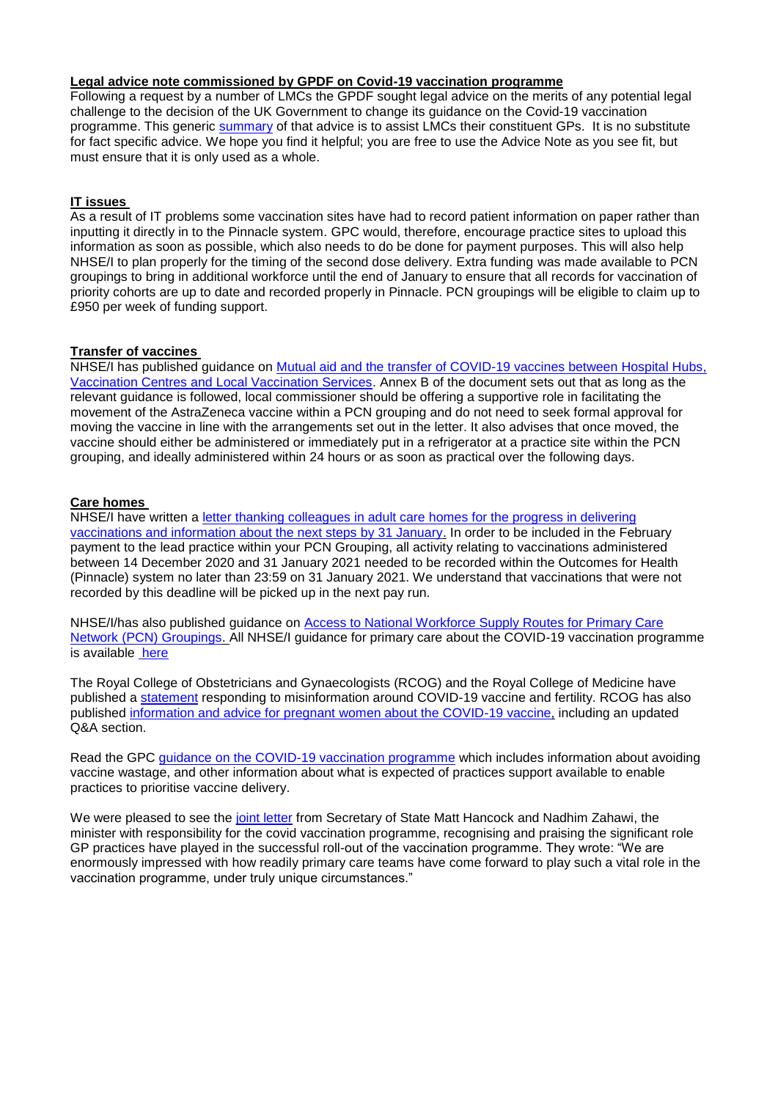# **Legal advice note commissioned by GPDF on Covid-19 vaccination programme**

Following a request by a number of LMCs the GPDF sought legal advice on the merits of any potential legal challenge to the decision of the UK Government to change its guidance on the Covid-19 vaccination programme. This generic [summary](https://www.clevelandlmc.org.uk/website/IGP367/files/summary.pdf) of that advice is to assist LMCs their constituent GPs. It is no substitute for fact specific advice. We hope you find it helpful; you are free to use the Advice Note as you see fit, but must ensure that it is only used as a whole.

# **IT issues**

As a result of IT problems some vaccination sites have had to record patient information on paper rather than inputting it directly in to the Pinnacle system. GPC would, therefore, encourage practice sites to upload this information as soon as possible, which also needs to do be done for payment purposes. This will also help NHSE/I to plan properly for the timing of the second dose delivery. Extra funding was made available to PCN groupings to bring in additional workforce until the end of January to ensure that all records for vaccination of priority cohorts are up to date and recorded properly in Pinnacle. PCN groupings will be eligible to claim up to £950 per week of funding support.

# **Transfer of vaccines**

NHSE/I has published guidance on Mutual aid and the transfer of COVID-19 vaccines between Hospital Hubs, [Vaccination Centres and Local Vaccination Services.](https://www.england.nhs.uk/coronavirus/publication/mutual-aid-and-the-transfer-of-covid-19-vaccines-between-hospital-hubs-vaccination-centres-and-local-vaccination-services/) Annex B of the document sets out that as long as the relevant guidance is followed, local commissioner should be offering a supportive role in facilitating the movement of the AstraZeneca vaccine within a PCN grouping and do not need to seek formal approval for moving the vaccine in line with the arrangements set out in the letter. It also advises that once moved, the vaccine should either be administered or immediately put in a refrigerator at a practice site within the PCN grouping, and ideally administered within 24 hours or as soon as practical over the following days.

# **Care homes**

NHSE/I have written a [letter thanking colleagues in adult care homes for the progress in delivering](https://www.england.nhs.uk/publication/covid-19-vaccination-older-adult-care-homes-thank-you-next-steps/)  [vaccinations and information about the next steps by 31 January.](https://www.england.nhs.uk/publication/covid-19-vaccination-older-adult-care-homes-thank-you-next-steps/) In order to be included in the February payment to the lead practice within your PCN Grouping, all activity relating to vaccinations administered between 14 December 2020 and 31 January 2021 needed to be recorded within the Outcomes for Health (Pinnacle) system no later than 23:59 on 31 January 2021. We understand that vaccinations that were not recorded by this deadline will be picked up in the next pay run.

NHSE/I/has also published guidance on [Access to National Workforce Supply Routes for Primary Care](https://www.england.nhs.uk/coronavirus/publication/access-to-national-workforce-supply-routes-for-primary-care-network-pcn-groupings/)  [Network \(PCN\) Groupings.](https://www.england.nhs.uk/coronavirus/publication/access-to-national-workforce-supply-routes-for-primary-care-network-pcn-groupings/) All NHSE/I guidance for primary care about the COVID-19 vaccination programme is available [here](https://www.england.nhs.uk/coronavirus/covid-19-vaccination-programme/primary-care-guidance/)

The Royal College of Obstetricians and Gynaecologists (RCOG) and the Royal College of Medicine have published a [statement](https://www.rcog.org.uk/en/news/RCOG-and-RCM-respond-to-misinformation-around-Covid-19-vaccine-and-fertility/) responding to misinformation around COVID-19 vaccine and fertility. RCOG has also published [information and advice for pregnant women about the COVID-19 vaccine,](https://www.rcog.org.uk/en/guidelines-research-services/guidelines/coronavirus-pregnancy/covid-19-virus-infection-and-pregnancy/) including an updated Q&A section.

Read the GPC [guidance on the COVID-19 vaccination programme](https://www.bma.org.uk/advice-and-support/covid-19/gp-practices/covid-19-vaccination-programme) which includes information about avoiding vaccine wastage, and other information about what is expected of practices support available to enable practices to prioritise vaccine delivery.

We were pleased to see the [joint letter](https://twitter.com/nadhimzahawi/status/1354514772058927120) from Secretary of State Matt Hancock and Nadhim Zahawi, the minister with responsibility for the covid vaccination programme, recognising and praising the significant role GP practices have played in the successful roll-out of the vaccination programme. They wrote: "We are enormously impressed with how readily primary care teams have come forward to play such a vital role in the vaccination programme, under truly unique circumstances."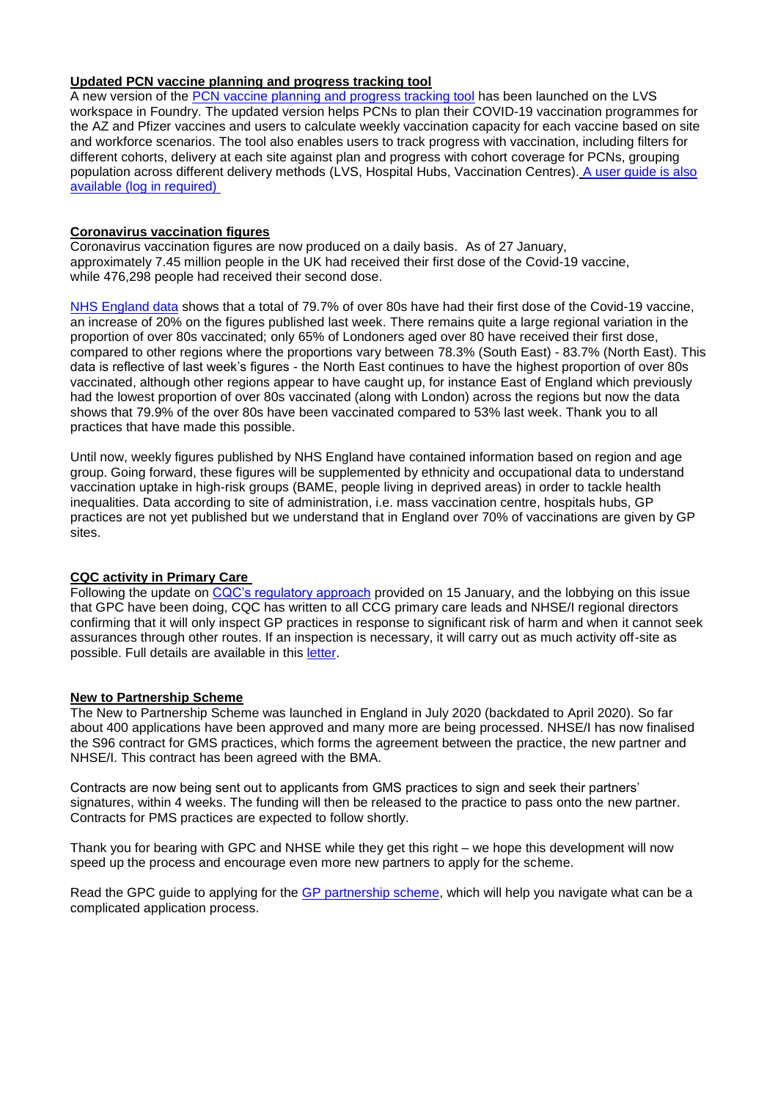### **Updated PCN vaccine planning and progress tracking tool**

A new version of the **PCN** vaccine planning and progress tracking tool has been launched on the LVS workspace in Foundry. The updated version helps PCNs to plan their COVID-19 vaccination programmes for the AZ and Pfizer vaccines and users to calculate weekly vaccination capacity for each vaccine based on site and workforce scenarios. The tool also enables users to track progress with vaccination, including filters for different cohorts, delivery at each site against plan and progress with cohort coverage for PCNs, grouping population across different delivery methods (LVS, Hospital Hubs, Vaccination Centres). A [user guide is also](https://generalpracticebulletin.cmail19.com/t/d-l-qlyyddy-juxdhitut-u/)  [available \(log in required\)](https://generalpracticebulletin.cmail19.com/t/d-l-qlyyddy-juxdhitut-u/)

# **Coronavirus vaccination figures**

Coronavirus vaccination figures are now produced on a daily basis. As of 27 January, approximately 7.45 million people in the UK had received their first dose of the Covid-19 vaccine, while 476,298 people had received their second dose.

[NHS England data](https://www.england.nhs.uk/statistics/statistical-work-areas/covid-19-vaccinations/) shows that a total of 79.7% of over 80s have had their first dose of the Covid-19 vaccine, an increase of 20% on the figures published last week. There remains quite a large regional variation in the proportion of over 80s vaccinated; only 65% of Londoners aged over 80 have received their first dose, compared to other regions where the proportions vary between 78.3% (South East) - 83.7% (North East). This data is reflective of last week's figures - the North East continues to have the highest proportion of over 80s vaccinated, although other regions appear to have caught up, for instance East of England which previously had the lowest proportion of over 80s vaccinated (along with London) across the regions but now the data shows that 79.9% of the over 80s have been vaccinated compared to 53% last week. Thank you to all practices that have made this possible.

Until now, weekly figures published by NHS England have contained information based on region and age group. Going forward, these figures will be supplemented by ethnicity and occupational data to understand vaccination uptake in high-risk groups (BAME, people living in deprived areas) in order to tackle health inequalities. Data according to site of administration, i.e. mass vaccination centre, hospitals hubs, GP practices are not yet published but we understand that in England over 70% of vaccinations are given by GP sites.

# **CQC activity in Primary Care**

Following the update on [CQC's regulatory approach](https://www.cqc.org.uk/news/stories/update-cqcs-regulatory-approach) provided on 15 January, and the lobbying on this issue that GPC have been doing, CQC has written to all CCG primary care leads and NHSE/I regional directors confirming that it will only inspect GP practices in response to significant risk of harm and when it cannot seek assurances through other routes. If an inspection is necessary, it will carry out as much activity off-site as possible. Full details are available in this [letter.](https://www.clevelandlmc.org.uk/website/IGP367/files/cqc.pdf)

### **New to Partnership Scheme**

The New to Partnership Scheme was launched in England in July 2020 (backdated to April 2020). So far about 400 applications have been approved and many more are being processed. NHSE/I has now finalised the S96 contract for GMS practices, which forms the agreement between the practice, the new partner and NHSE/I. This contract has been agreed with the BMA.

Contracts are now being sent out to applicants from GMS practices to sign and seek their partners' signatures, within 4 weeks. The funding will then be released to the practice to pass onto the new partner. Contracts for PMS practices are expected to follow shortly.

Thank you for bearing with GPC and NHSE while they get this right – we hope this development will now speed up the process and encourage even more new partners to apply for the scheme.

Read the GPC guide to applying for the [GP partnership scheme,](https://www.bma.org.uk/advice-and-support/career-progression/gp-workforce-initiatives/new-to-gp-partnership-scheme) which will help you navigate what can be a complicated application process.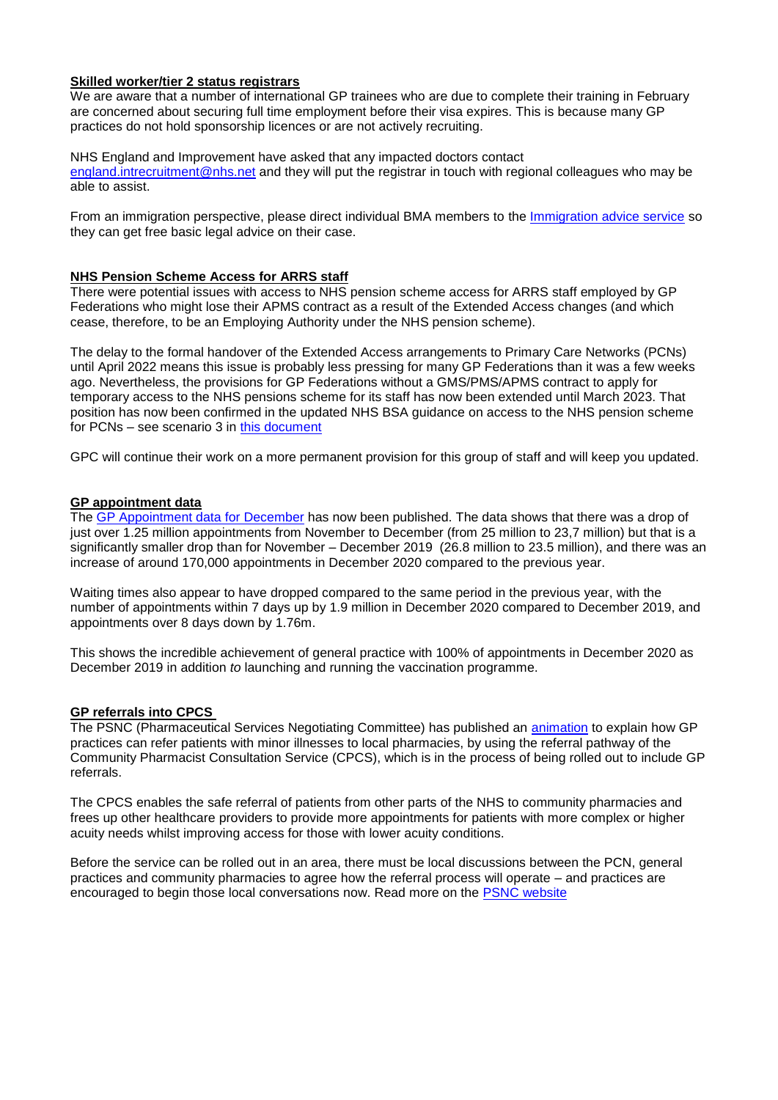# **Skilled worker/tier 2 status registrars**

We are aware that a number of international GP trainees who are due to complete their training in February are concerned about securing full time employment before their visa expires. This is because many GP practices do not hold sponsorship licences or are not actively recruiting.

NHS England and Improvement have asked that any impacted doctors contact [england.intrecruitment@nhs.net](mailto:england.intrecruitment@nhs.net) and they will put the registrar in touch with regional colleagues who may be able to assist.

From an immigration perspective, please direct individual BMA members to the [Immigration advice service](https://www.bma.org.uk/advice-and-support/international-doctors/how-the-bma-can-help-you/bma-services-for-international-doctors) so they can get free basic legal advice on their case.

# **NHS Pension Scheme Access for ARRS staff**

There were potential issues with access to NHS pension scheme access for ARRS staff employed by GP Federations who might lose their APMS contract as a result of the Extended Access changes (and which cease, therefore, to be an Employing Authority under the NHS pension scheme).

The delay to the formal handover of the Extended Access arrangements to Primary Care Networks (PCNs) until April 2022 means this issue is probably less pressing for many GP Federations than it was a few weeks ago. Nevertheless, the provisions for GP Federations without a GMS/PMS/APMS contract to apply for temporary access to the NHS pensions scheme for its staff has now been extended until March 2023. That position has now been confirmed in the updated NHS BSA guidance on access to the NHS pension scheme for PCNs – see scenario 3 in [this document](https://www.nhsbsa.nhs.uk/sites/default/files/2020-12/Primary_Care_Networks_and_NHS_Pension_Scheme_Access_20201216_%28V3%29.pdf)

GPC will continue their work on a more permanent provision for this group of staff and will keep you updated.

### **GP appointment data**

The [GP Appointment data for December](https://digital.nhs.uk/data-and-information/publications/statistical/appointments-in-general-practice/december-2020) has now been published. The data shows that there was a drop of just over 1.25 million appointments from November to December (from 25 million to 23,7 million) but that is a significantly smaller drop than for November – December 2019 (26.8 million to 23.5 million), and there was an increase of around 170,000 appointments in December 2020 compared to the previous year.

Waiting times also appear to have dropped compared to the same period in the previous year, with the number of appointments within 7 days up by 1.9 million in December 2020 compared to December 2019, and appointments over 8 days down by 1.76m.

This shows the incredible achievement of general practice with 100% of appointments in December 2020 as December 2019 in addition *to* launching and running the vaccination programme.

### **GP referrals into CPCS**

The PSNC (Pharmaceutical Services Negotiating Committee) has published an **animation** to explain how GP practices can refer patients with minor illnesses to local pharmacies, by using the referral pathway of the Community Pharmacist Consultation Service (CPCS), which is in the process of being rolled out to include GP referrals.

The CPCS enables the safe referral of patients from other parts of the NHS to community pharmacies and frees up other healthcare providers to provide more appointments for patients with more complex or higher acuity needs whilst improving access for those with lower acuity conditions.

Before the service can be rolled out in an area, there must be local discussions between the PCN, general practices and community pharmacies to agree how the referral process will operate – and practices are encouraged to begin those local conversations now. Read more on the [PSNC website](https://psnc.org.uk/services-commissioning/advanced-services/community-pharmacist-consultation-service/cpcs-gp-referral-pathway/)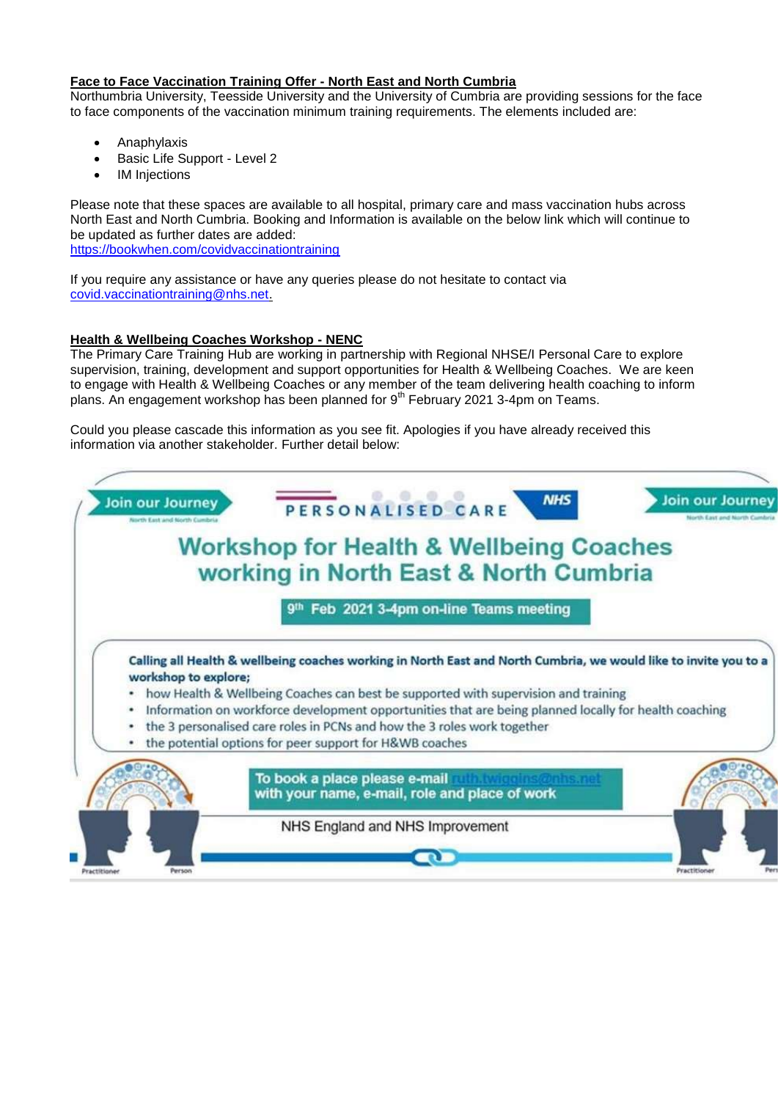### **Face to Face Vaccination Training Offer - North East and North Cumbria**

Northumbria University, Teesside University and the University of Cumbria are providing sessions for the face to face components of the vaccination minimum training requirements. The elements included are:

- Anaphylaxis
- Basic Life Support Level 2
- IM Injections

Please note that these spaces are available to all hospital, primary care and mass vaccination hubs across North East and North Cumbria. Booking and Information is available on the below link which will continue to be updated as further dates are added: <https://bookwhen.com/covidvaccinationtraining>

If you require any assistance or have any queries please do not hesitate to contact via

[covid.vaccinationtraining@nhs.net.](mailto:covid.vaccinationtraining@nhs.net)

# **Health & Wellbeing Coaches Workshop - NENC**

The Primary Care Training Hub are working in partnership with Regional NHSE/I Personal Care to explore supervision, training, development and support opportunities for Health & Wellbeing Coaches. We are keen to engage with Health & Wellbeing Coaches or any member of the team delivering health coaching to inform plans. An engagement workshop has been planned for 9<sup>th</sup> February 2021 3-4pm on Teams.

Could you please cascade this information as you see fit. Apologies if you have already received this information via another stakeholder. Further detail below:

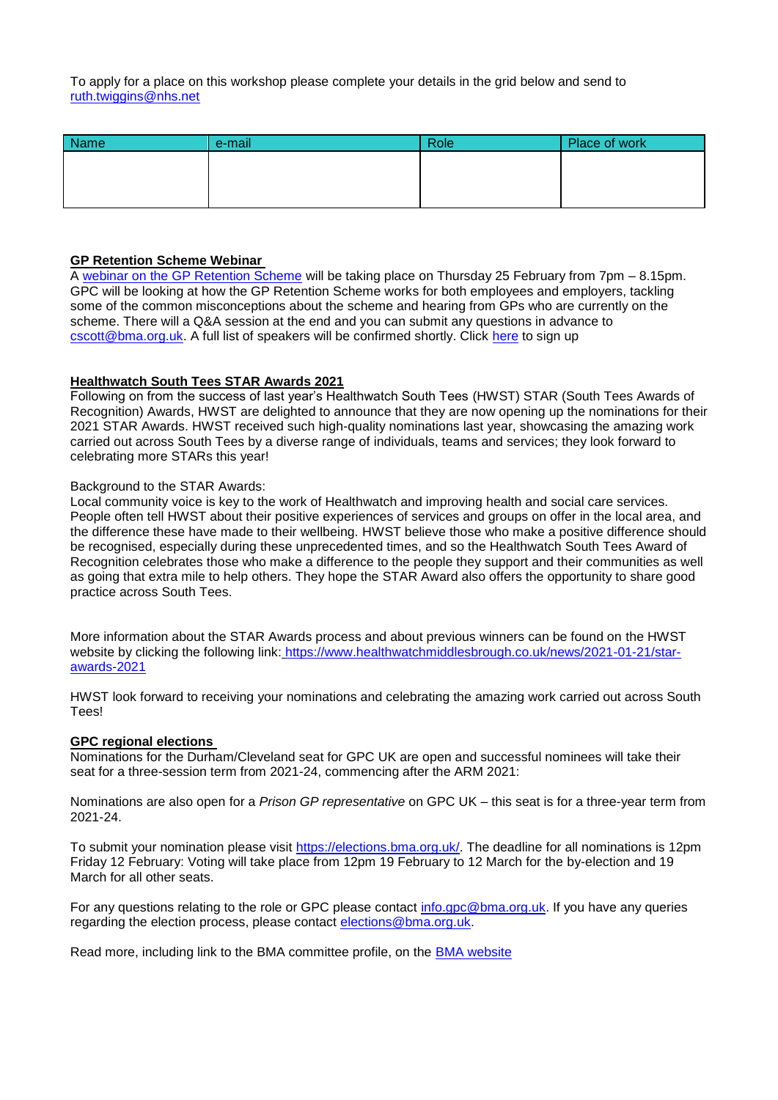To apply for a place on this workshop please complete your details in the grid below and send to [ruth.twiggins@nhs.net](mailto:ruth.twiggins@nhs.net)

| Name | e-mail | Role | Place of work |
|------|--------|------|---------------|
|      |        |      |               |
|      |        |      |               |
|      |        |      |               |

### **GP Retention Scheme Webinar**

A [webinar on the GP Retention Scheme](https://www.bma.org.uk/events/gp-retention-scheme-webinar) will be taking place on Thursday 25 February from 7pm – 8.15pm. GPC will be looking at how the GP Retention Scheme works for both employees and employers, tackling some of the common misconceptions about the scheme and hearing from GPs who are currently on the scheme. There will a Q&A session at the end and you can submit any questions in advance to [cscott@bma.org.uk.](mailto:cscott@bma.org.uk) A full list of speakers will be confirmed shortly. Click [here](https://attendee.gotowebinar.com/register/260773784388124176) to sign up

### **Healthwatch South Tees STAR Awards 2021**

Following on from the success of last year's Healthwatch South Tees (HWST) STAR (South Tees Awards of Recognition) Awards, HWST are delighted to announce that they are now opening up the nominations for their 2021 STAR Awards. HWST received such high-quality nominations last year, showcasing the amazing work carried out across South Tees by a diverse range of individuals, teams and services; they look forward to celebrating more STARs this year!

### Background to the STAR Awards:

Local community voice is key to the work of Healthwatch and improving health and social care services. People often tell HWST about their positive experiences of services and groups on offer in the local area, and the difference these have made to their wellbeing. HWST believe those who make a positive difference should be recognised, especially during these unprecedented times, and so the Healthwatch South Tees Award of Recognition celebrates those who make a difference to the people they support and their communities as well as going that extra mile to help others. They hope the STAR Award also offers the opportunity to share good practice across South Tees.

More information about the STAR Awards process and about previous winners can be found on the HWST website by clicking the following link: [https://www.healthwatchmiddlesbrough.co.uk/news/2021-01-21/star](https://gbr01.safelinks.protection.outlook.com/?url=https%3A%2F%2Fwww.healthwatchmiddlesbrough.co.uk%2Fnews%2F2021-01-21%2Fstar-awards-2021&data=04%7C01%7Clisa.bosomworth%40pcp.uk.net%7Cc105395c5e34414f1c8e08d8beec3f47%7Cab08069964414f408f2de1e5936aba10%7C0%7C0%7C637469269163297188%7CUnknown%7CTWFpbGZsb3d8eyJWIjoiMC4wLjAwMDAiLCJQIjoiV2luMzIiLCJBTiI6Ik1haWwiLCJXVCI6Mn0%3D%7C1000&sdata=WeBvkEoLQmdcbnDvvOi7g0nxr17dOJXBwLH4MZz7jvA%3D&reserved=0)[awards-2021](https://gbr01.safelinks.protection.outlook.com/?url=https%3A%2F%2Fwww.healthwatchmiddlesbrough.co.uk%2Fnews%2F2021-01-21%2Fstar-awards-2021&data=04%7C01%7Clisa.bosomworth%40pcp.uk.net%7Cc105395c5e34414f1c8e08d8beec3f47%7Cab08069964414f408f2de1e5936aba10%7C0%7C0%7C637469269163297188%7CUnknown%7CTWFpbGZsb3d8eyJWIjoiMC4wLjAwMDAiLCJQIjoiV2luMzIiLCJBTiI6Ik1haWwiLCJXVCI6Mn0%3D%7C1000&sdata=WeBvkEoLQmdcbnDvvOi7g0nxr17dOJXBwLH4MZz7jvA%3D&reserved=0)

HWST look forward to receiving your nominations and celebrating the amazing work carried out across South **Tees!** 

### **GPC regional elections**

Nominations for the Durham/Cleveland seat for GPC UK are open and successful nominees will take their seat for a three-session term from 2021-24, commencing after the ARM 2021:

Nominations are also open for a *Prison GP representative* on GPC UK – this seat is for a three-year term from 2021-24.

To submit your nomination please visit [https://elections.bma.org.uk/.](https://elections.bma.org.uk/) The deadline for all nominations is 12pm Friday 12 February: Voting will take place from 12pm 19 February to 12 March for the by-election and 19 March for all other seats.

For any questions relating to the role or GPC please contact [info.gpc@bma.org.uk.](mailto:info.gpc@bma.org.uk) If you have any queries regarding the election process, please contact [elections@bma.org.uk.](mailto:elections@bma.org.uk)

Read more, including link to the BMA committee profile, on the [BMA website](https://www.bma.org.uk/what-we-do/committees/general-practitioners-committee/general-practitioners-committee-uk-overview)